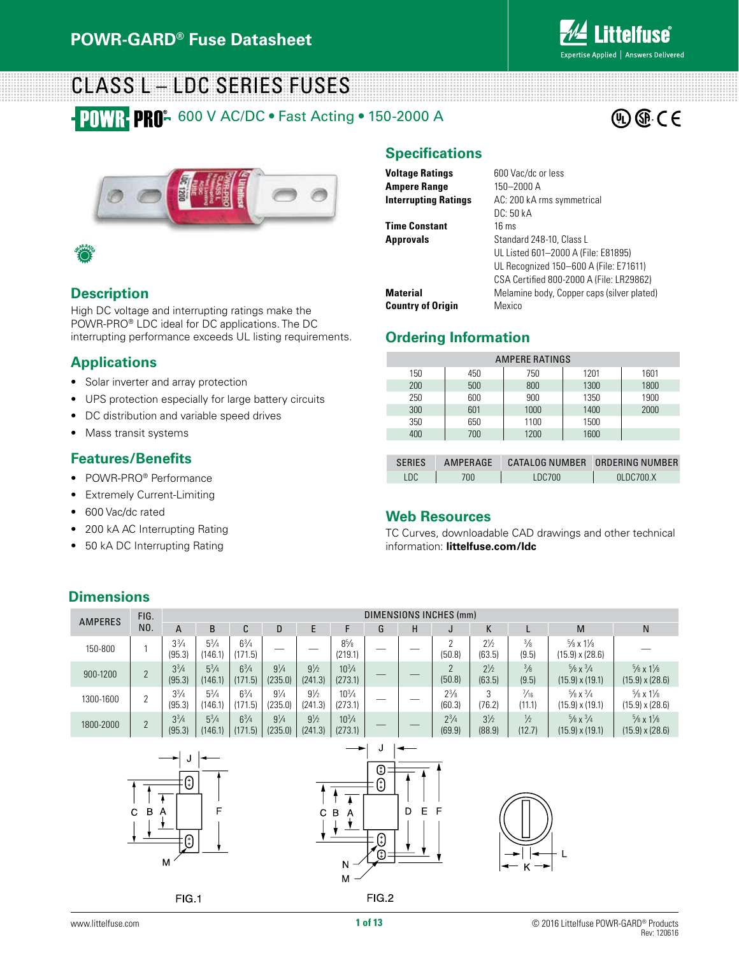

 $\circledR$   $\circledR$   $\circ$   $\in$ 

### CLASS L – LDC SERIES FUSES **POWR PRO:** 600 V AC/DC · Fast Acting · 150-2000 A





#### **Description**

High DC voltage and interrupting ratings make the POWR-PRO® LDC ideal for DC applications. The DC interrupting performance exceeds UL listing requirements.

#### **Applications**

- Solar inverter and array protection
- UPS protection especially for large battery circuits
- DC distribution and variable speed drives
- Mass transit systems

#### **Features/Benefits**

- POWR-PRO® Performance
- Extremely Current-Limiting
- 600 Vac/dc rated

**Dimensions**

- 200 kA AC Interrupting Rating
- 50 kA DC Interrupting Rating

#### **Specifications**

| <b>Voltage Ratings</b>      | 600 Vac/dc or less                         |
|-----------------------------|--------------------------------------------|
| Ampere Range                | 150-2000 A                                 |
| <b>Interrupting Ratings</b> | AC: 200 kA rms symmetrical                 |
|                             | DC: 50 kA                                  |
| <b>Time Constant</b>        | $16 \text{ ms}$                            |
| Approvals                   | Standard 248-10, Class L                   |
|                             | UL Listed 601-2000 A (File: E81895)        |
|                             | UL Recognized 150-600 A (File: E71611)     |
|                             | CSA Certified 800-2000 A (File: LR29862)   |
| Material                    | Melamine body, Copper caps (silver plated) |
| <b>Country of Origin</b>    | Mexico                                     |

#### **Ordering Information**

| AMPERE RATINGS |                 |                |      |  |                 |  |  |
|----------------|-----------------|----------------|------|--|-----------------|--|--|
| 150            | 450             | 750            | 1201 |  | 1601            |  |  |
| 200            | 500             | 800            | 1300 |  | 1800            |  |  |
| 250            | 600             | 900            | 1350 |  | 1900            |  |  |
| 300            | 601             | 1000           | 1400 |  | 2000            |  |  |
| 350            | 650             | 1100           | 1500 |  |                 |  |  |
| 400            | 700             | 1200           | 1600 |  |                 |  |  |
|                |                 |                |      |  |                 |  |  |
| <b>SERIES</b>  | <b>AMPERAGE</b> | CATALOG NUMBER |      |  | ORDERING NUMBER |  |  |

| <b>SFRIFS</b> | AMPFRAGF | CATALOG NUMBER ORDERING NUMBER |                 |
|---------------|----------|--------------------------------|-----------------|
| LDC.          | 700.     | LDC700                         | $0$ LDC700. $X$ |
|               |          |                                |                 |

#### **Web Resources**

TC Curves, downloadable CAD drawings and other technical information: **littelfuse.com/ldc**

#### AMPERES FIG. DIMENSIONS INCHES (mm) NO. A B C D E F G H J K L M N  $3^{3}/4$  $8\frac{5}{8}$ 53 ⁄4 (171.5) — — <sup>85</sup>  $6\frac{3}{4}$  $\begin{array}{c|c} 8^{5/6} & - & - & 2 \ \hline (219.1) & - & - & 50. \end{array}$  $2\frac{1}{2}$ 3 ⁄8 5 ⁄8 x 11 ⁄8  $150-800$  | 1 (95.3) (146.1) (50.8) (63.5) (9.5)  $(15.9) \times (28.6)$  $3\frac{3}{4}$  $\begin{array}{c|c} 10^{3/4} & - & - & 2 \ (273.1) & - & - & 50.1 \end{array}$ 53 ⁄4  $6\frac{3}{4}$ 91 ⁄4 91 ⁄2 103 ⁄4 21 ⁄2 3 ⁄8 5 ⁄8 x 3 ⁄4 5 ⁄8 x 11 ⁄8  $900-1200$  | 2 (235.0) (241.3) (50.8) (63.5) (9.5) (15.9) x (19.1) (15.9) x (28.6) (95.3) (146.1) (171.5)  $3^{3}/4$ 53 ⁄4 63 ⁄4 91 ⁄4 91 ⁄2 103 ⁄4  $2^{3}/8$ 3 7 ⁄16 5 ⁄8 x 3 ⁄4 5 ⁄8 x 11 ⁄8  $1300-1600$  | 2 (146.1) (235.0) (241.3)  $(273.1)$ (60.3) (76.2) (11.1) (15.9) x (19.1) (15.9) x (28.6) (95.3) (171.5)  $2^{3}/4$  $3^{3}/4$ 53 ⁄4  $6\frac{3}{4}$ 91 ⁄4  $9\frac{1}{2}$ 103 ⁄4  $3\frac{1}{2}$ 1 ⁄2  $\frac{5}{8}$  x  $\frac{3}{4}$ 5 ⁄8 x 11 ⁄8  $1800 - 2000$  | 2 (95.3) (146.1) (171.5) (235.0) (241.3) (69.9) (88.9) (12.7) (15.9) x (19.1) (15.9) x (28.6)  $(273.1)$ J J  $\bigoplus$ ⊕ ⊕  $\ddagger$  $\overline{\mathbf{I}}$ D E F C B A C B  $\overline{A}$  $\mathbf{\ast}$ ₩

M

 $FIG.1$ 

 $\in$   $\bigoplus$ Ό

FIG.2

 $\downarrow$ 

N M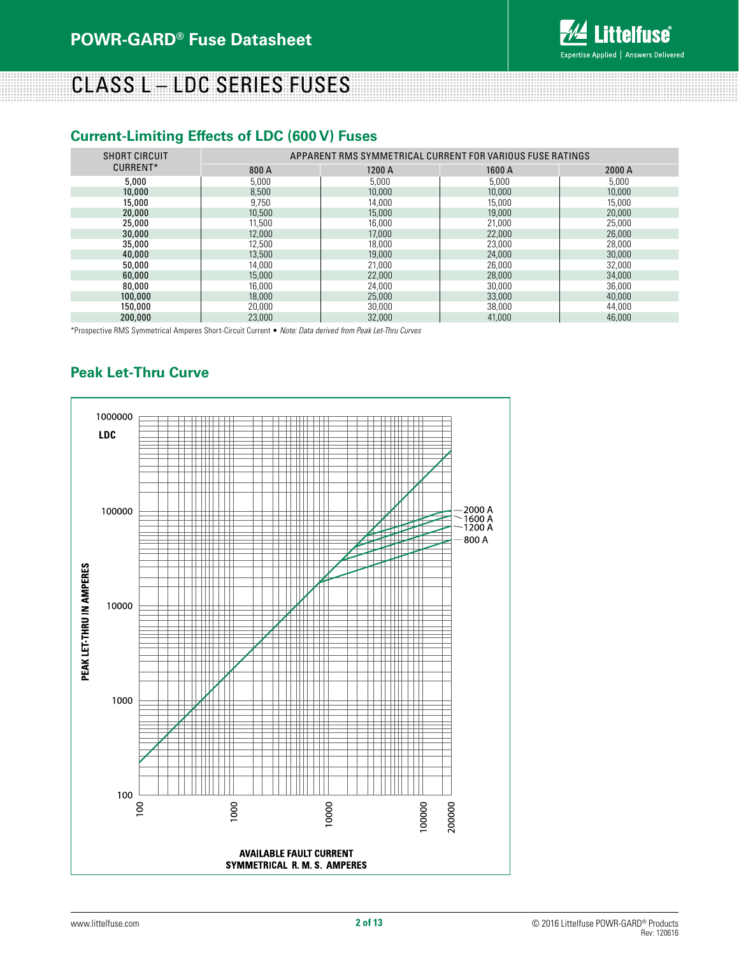

# CLASS L – LDC SERIES FUSES

#### **Current-Limiting Effects of LDC (600 V) Fuses**

| SHORT CIRCUIT | APPARENT RMS SYMMETRICAL CURRENT FOR VARIOUS FUSE RATINGS |        |        |        |  |
|---------------|-----------------------------------------------------------|--------|--------|--------|--|
| CURRENT*      | 800 A                                                     | 1200 A | 1600 A | 2000 A |  |
| 5,000         | 5,000                                                     | 5,000  | 5,000  | 5,000  |  |
| 10,000        | 8.500                                                     | 10,000 | 10,000 | 10,000 |  |
| 15,000        | 9.750                                                     | 14,000 | 15,000 | 15,000 |  |
| 20,000        | 10,500                                                    | 15,000 | 19,000 | 20,000 |  |
| 25,000        | 11,500                                                    | 16,000 | 21,000 | 25,000 |  |
| 30,000        | 12,000                                                    | 17,000 | 22,000 | 26,000 |  |
| 35,000        | 12,500                                                    | 18,000 | 23,000 | 28,000 |  |
| 40,000        | 13,500                                                    | 19,000 | 24,000 | 30,000 |  |
| 50,000        | 14.000                                                    | 21,000 | 26,000 | 32,000 |  |
| 60,000        | 15,000                                                    | 22,000 | 28,000 | 34,000 |  |
| 80,000        | 16,000                                                    | 24,000 | 30.000 | 36,000 |  |
| 100,000       | 18,000                                                    | 25,000 | 33,000 | 40,000 |  |
| 150,000       | 20,000                                                    | 30,000 | 38,000 | 44,000 |  |
| 200,000       | 23,000                                                    | 32,000 | 41,000 | 46,000 |  |

\*Prospective RMS Symmetrical Amperes Short-Circuit Current • *Note: Data derived from Peak Let-Thru Curves*

### **Peak Let-Thru Curve**

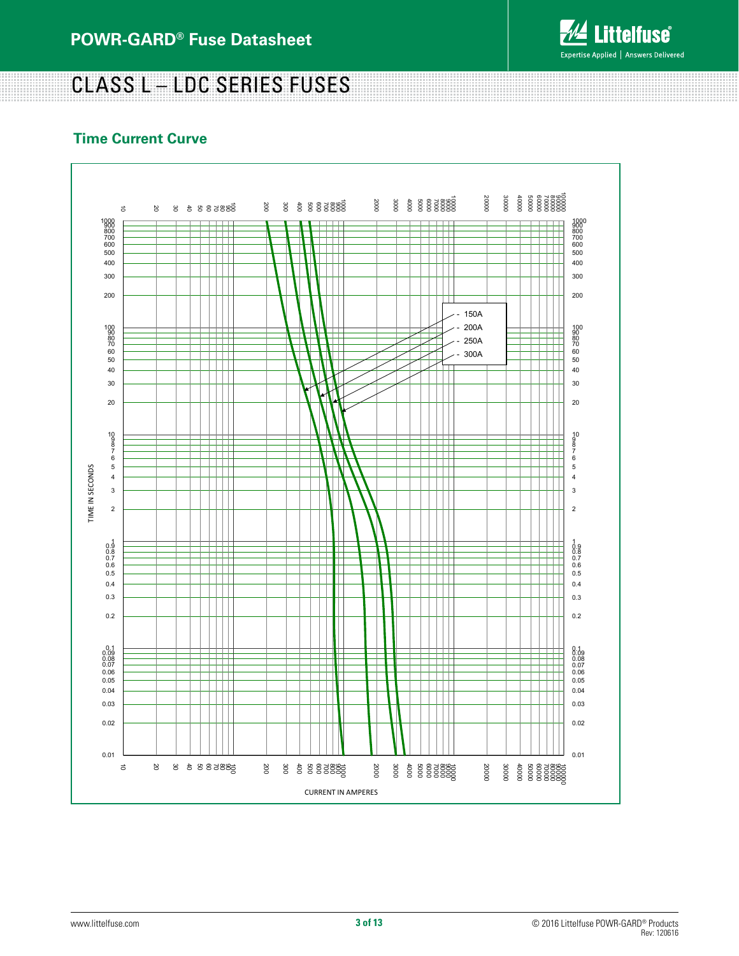

<u> 1999 - 1999 - 1999 - 1999 - 1999 - 1999 - 1999 - 1999 - 1999 - 1999 - 1999 - 1999 - 1999 - 1999 - 1999 - 19</u>

# CLASS L – LDC SERIES FUSES

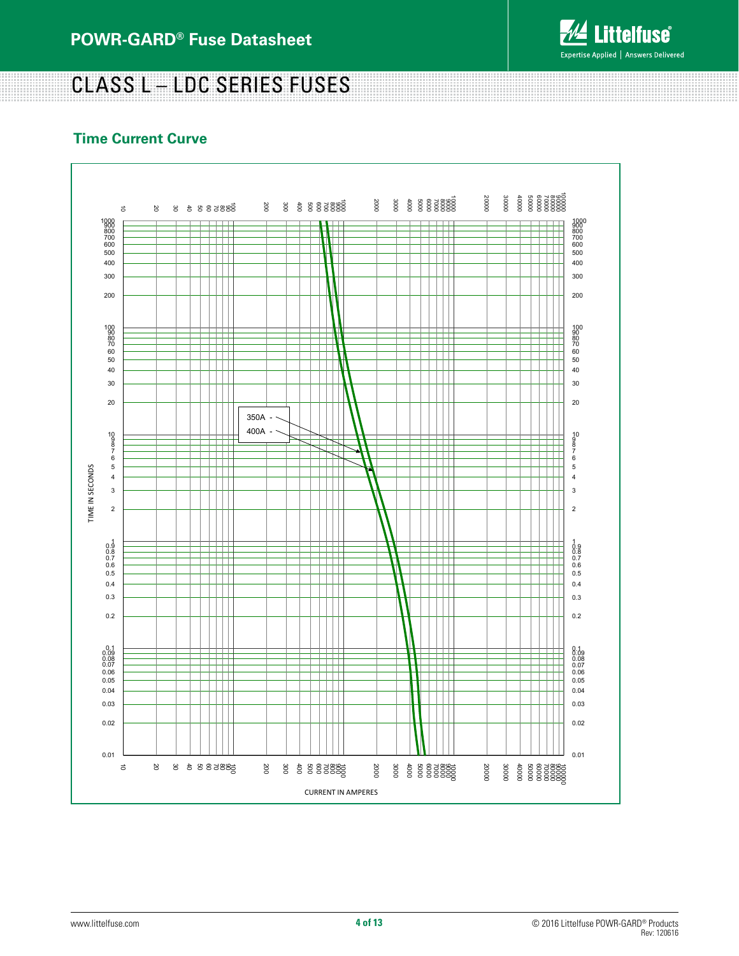

# CLASS L – LDC SERIES FUSES

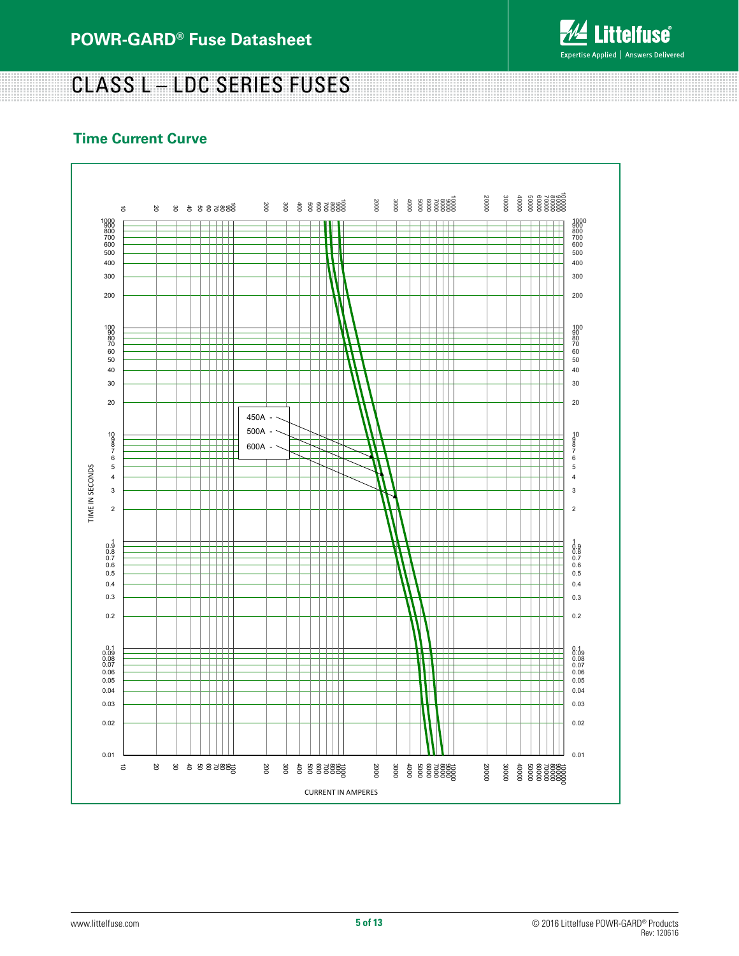

# CLASS L – LDC SERIES FUSES

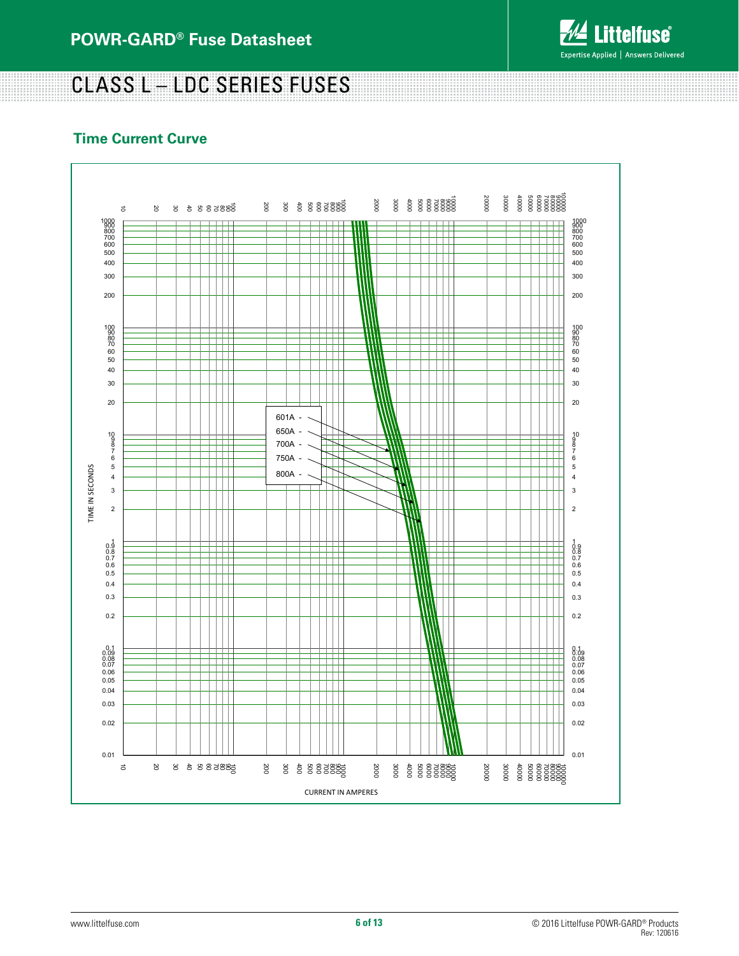

CLASS L – LDC SERIES FUSES

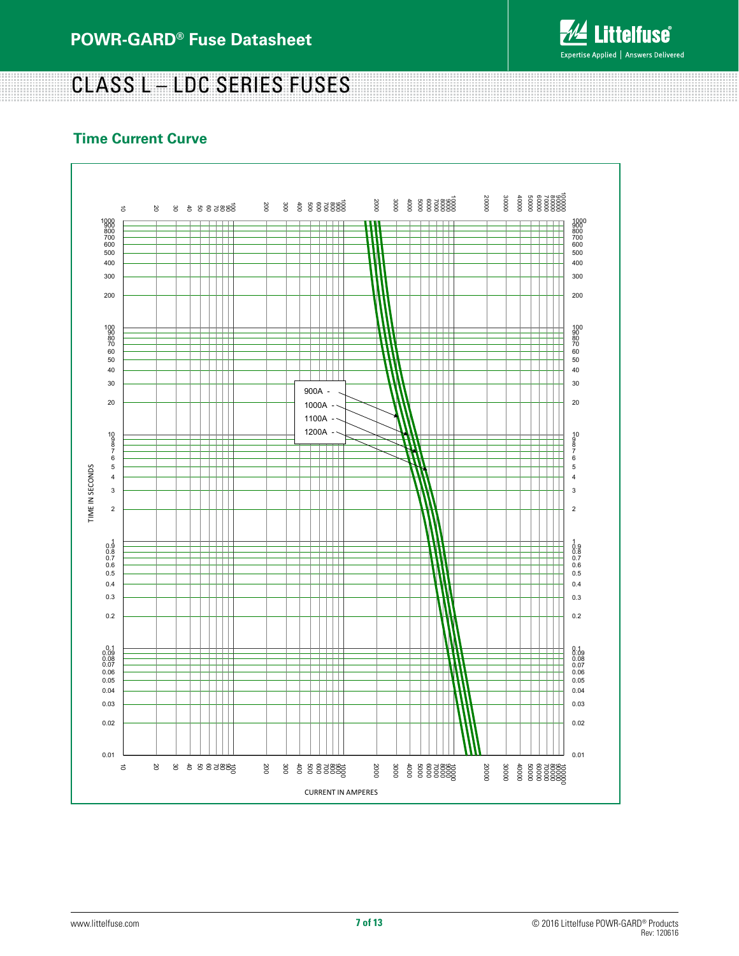

# CLASS L – LDC SERIES FUSES

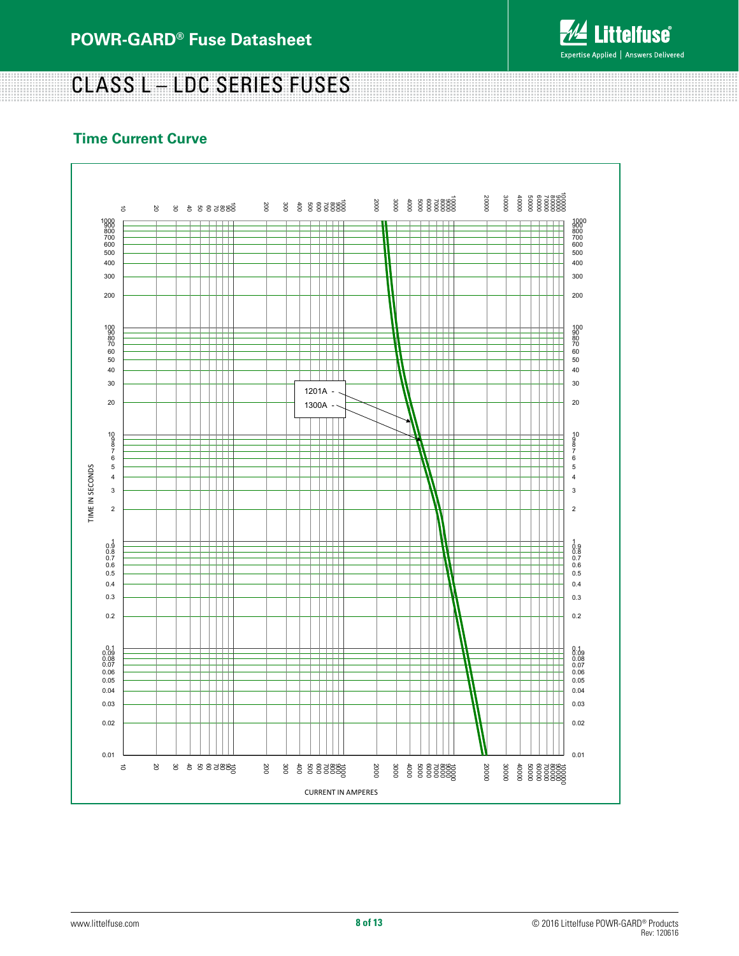

# CLASS L – LDC SERIES FUSES

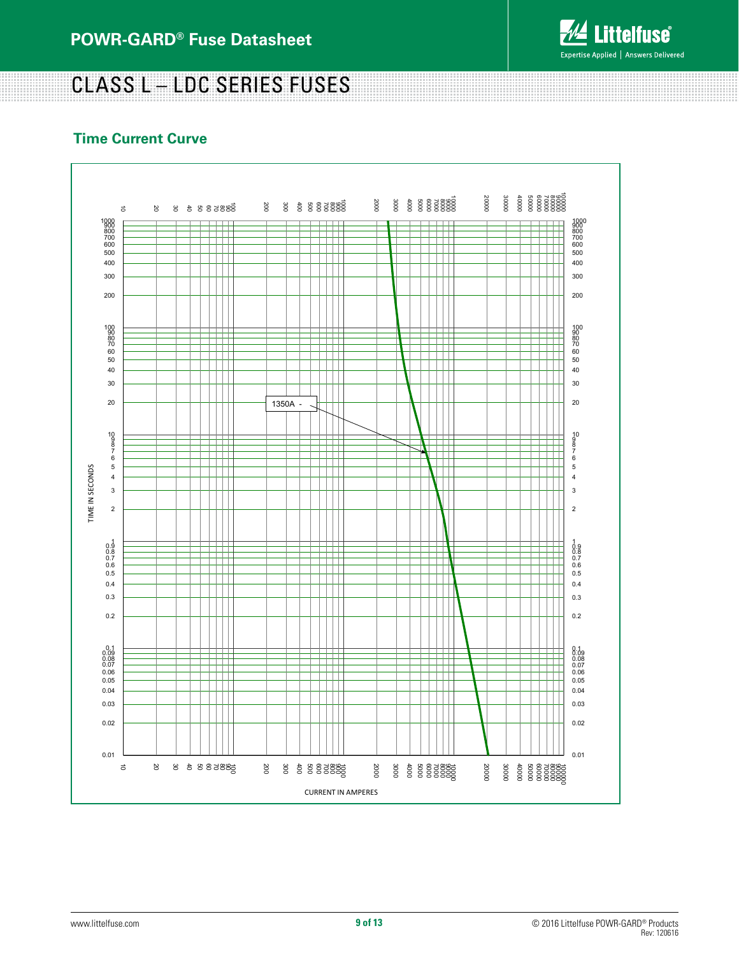

# CLASS L – LDC SERIES FUSES

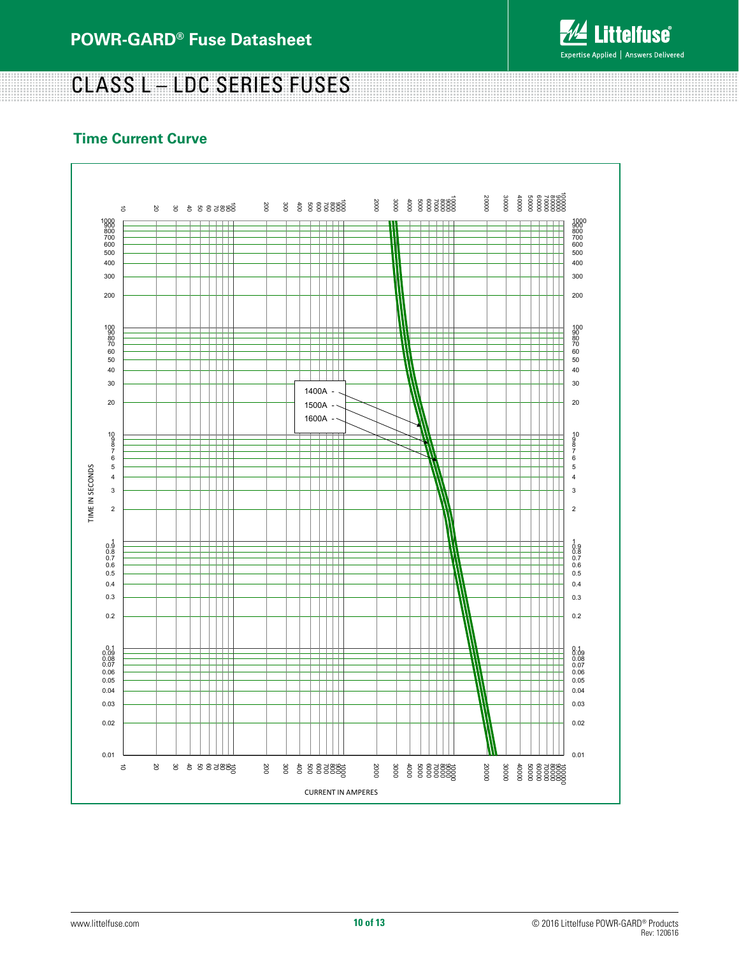

# CLASS L – LDC SERIES FUSES

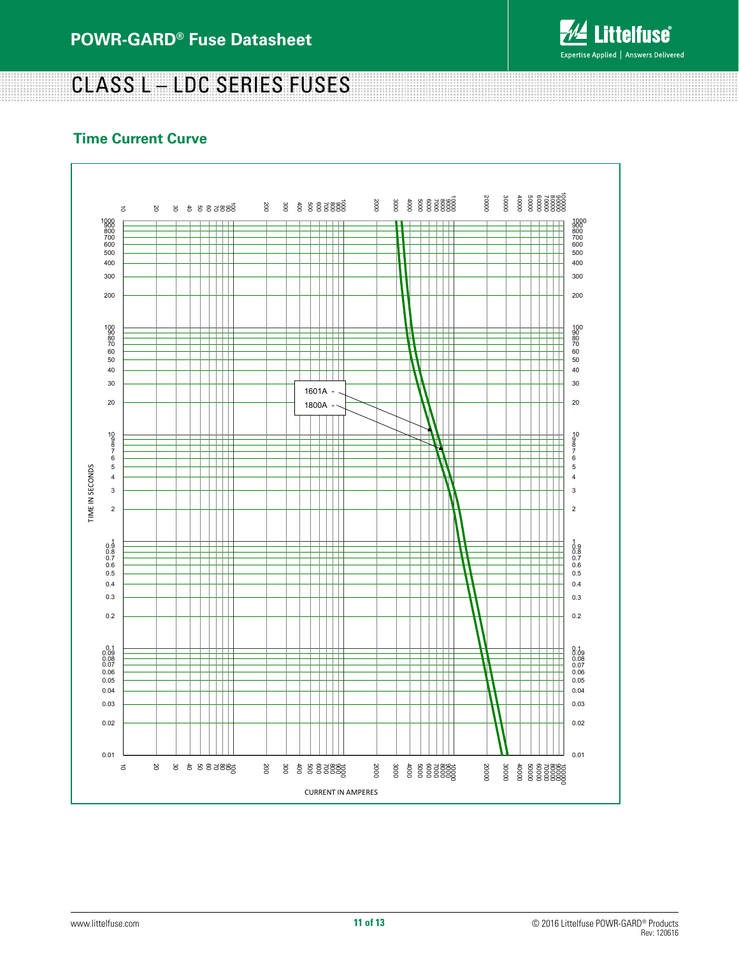

# CLASS L – LDC SERIES FUSES

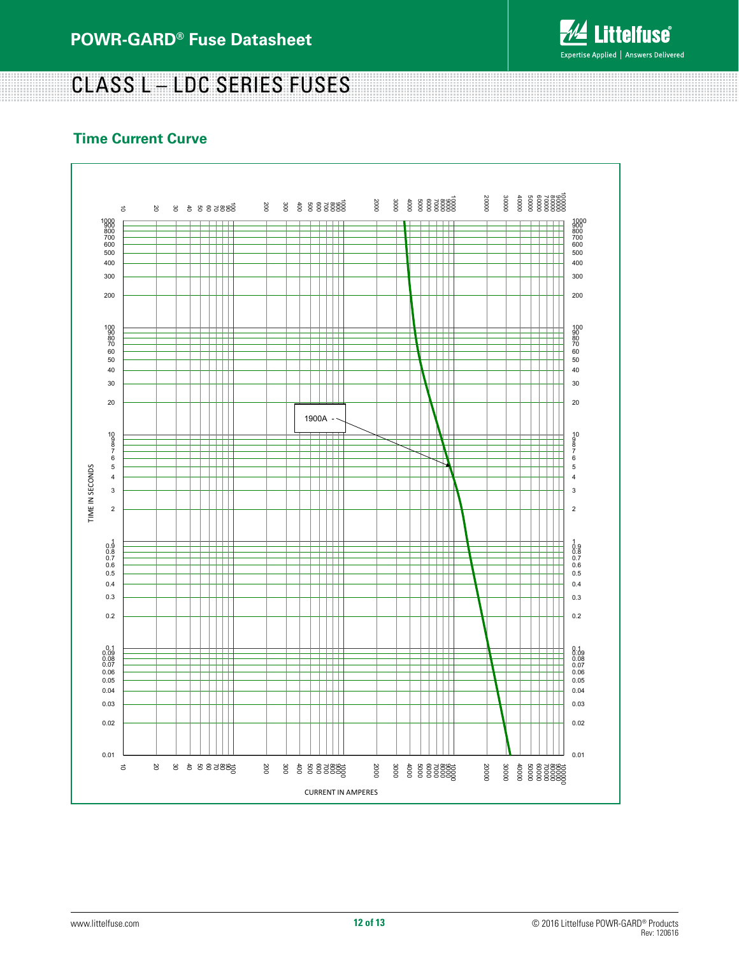

<u> 1999 - 1999 - 1999 - 1999 - 1999 - 1999 - 1999 - 1999 - 1999 - 1999 - 1999 - 1999 - 1999 - 1999 - 1999 - 199</u>

# CLASS L – LDC SERIES FUSES